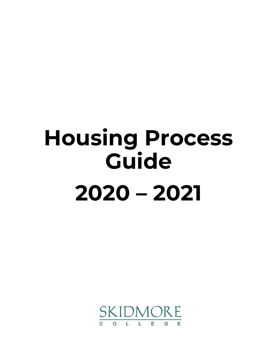# **Housing Process Guide 2020 – 2021**

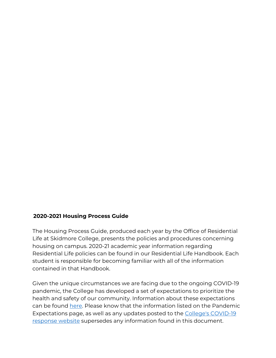#### **2020-2021 Housing Process Guide**

The Housing Process Guide, produced each year by the Office of Residential Life at Skidmore College, presents the policies and procedures concerning housing on campus. 2020-21 academic year information regarding Residential Life policies can be found in our Residential Life Handbook. Each student is responsible for becoming familiar with all of the information contained in that Handbook.

Given the unique circumstances we are facing due to the ongoing COVID-19 pandemic, the College has developed a set of expectations to prioritize the health and safety of our community. Information about these expectations can be found [here.](https://www.skidmore.edu/reslife/student-conduct/pandemic-expectations.php) Please know that the information listed on the Pandemic Expectations page, as well as any updates posted to the [College's COVID-19](https://www.skidmore.edu/fall-planning/index.php)  [response website](https://www.skidmore.edu/fall-planning/index.php) supersedes any information found in this document.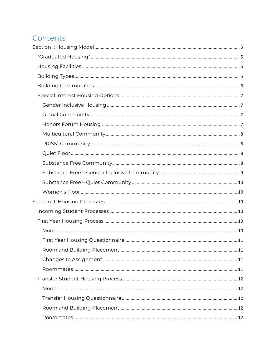# Contents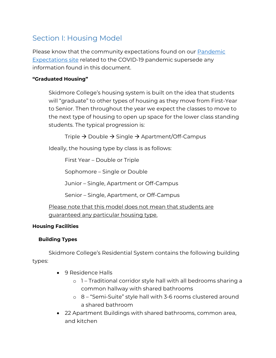# <span id="page-4-0"></span>Section I: Housing Model

Please know that the community expectations found on our **Pandemic** [Expectations site](https://www.skidmore.edu/reslife/student-conduct/pandemic-expectations.php) related to the COVID-19 pandemic supersede any information found in this document.

# <span id="page-4-1"></span>**"Graduated Housing"**

Skidmore College's housing system is built on the idea that students will "graduate" to other types of housing as they move from First-Year to Senior. Then throughout the year we expect the classes to move to the next type of housing to open up space for the lower class standing students. The typical progression is:

Triple  $\rightarrow$  Double  $\rightarrow$  Single  $\rightarrow$  Apartment/Off-Campus

Ideally, the housing type by class is as follows:

First Year – Double or Triple

Sophomore – Single or Double

Junior – Single, Apartment or Off-Campus

Senior – Single, Apartment, or Off-Campus

Please note that this model does not mean that students are quaranteed any particular housing type.

#### <span id="page-4-2"></span>**Housing Facilities**

#### <span id="page-4-3"></span>**Building Types**

Skidmore College's Residential System contains the following building types:

- 9 Residence Halls
	- o 1 Traditional corridor style hall with all bedrooms sharing a common hallway with shared bathrooms
	- o 8 "Semi-Suite" style hall with 3-6 rooms clustered around a shared bathroom
- 22 Apartment Buildings with shared bathrooms, common area, and kitchen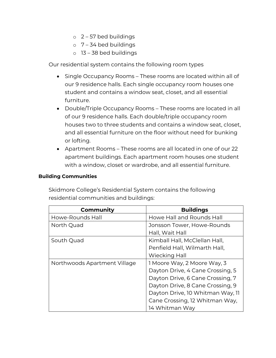- $\circ$  2 57 bed buildings
- $\circ$  7 34 bed buildings
- $o$  13 38 bed buildings

Our residential system contains the following room types

- Single Occupancy Rooms These rooms are located within all of our 9 residence halls. Each single occupancy room houses one student and contains a window seat, closet, and all essential furniture.
- Double/Triple Occupancy Rooms These rooms are located in all of our 9 residence halls. Each double/triple occupancy room houses two to three students and contains a window seat, closet, and all essential furniture on the floor without need for bunking or lofting.
- Apartment Rooms These rooms are all located in one of our 22 apartment buildings. Each apartment room houses one student with a window, closet or wardrobe, and all essential furniture.

#### <span id="page-5-0"></span>**Building Communities**

Skidmore College's Residential System contains the following residential communities and buildings:

| Community                    | <b>Buildings</b>                 |
|------------------------------|----------------------------------|
| Howe-Rounds Hall             | Howe Hall and Rounds Hall        |
| North Quad                   | Jonsson Tower, Howe-Rounds       |
|                              | Hall, Wait Hall                  |
| South Quad                   | Kimball Hall, McClellan Hall,    |
|                              | Penfield Hall, Wilmarth Hall,    |
|                              | <b>Wiecking Hall</b>             |
| Northwoods Apartment Village | 1 Moore Way, 2 Moore Way, 3      |
|                              | Dayton Drive, 4 Cane Crossing, 5 |
|                              | Dayton Drive, 6 Cane Crossing, 7 |
|                              | Dayton Drive, 8 Cane Crossing, 9 |
|                              | Dayton Drive, 10 Whitman Way, 11 |
|                              | Cane Crossing, 12 Whitman Way,   |
|                              | 14 Whitman Way                   |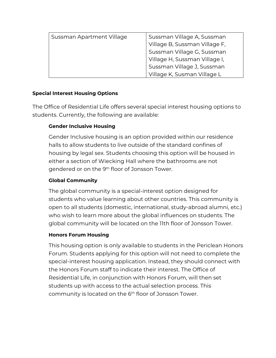| Sussman Apartment Village | Sussman Village A, Sussman    |
|---------------------------|-------------------------------|
|                           | Village B, Sussman Village F, |
|                           | Sussman Village G, Sussman    |
|                           | Village H, Sussman Village I, |
|                           | Sussman Village J, Sussman    |
|                           | Village K, Susman Village L   |

# <span id="page-6-0"></span>**Special Interest Housing Options**

The Office of Residential Life offers several special interest housing options to students. Currently, the following are available:

# <span id="page-6-1"></span>**Gender Inclusive Housing**

Gender Inclusive housing is an option provided within our residence halls to allow students to live outside of the standard confines of housing by legal sex. Students choosing this option will be housed in either a section of Wiecking Hall where the bathrooms are not gendered or on the 9<sup>th</sup> floor of Jonsson Tower.

# <span id="page-6-2"></span>**Global Community**

The global community is a special-interest option designed for students who value learning about other countries. This community is open to all students (domestic, international, study-abroad alumni, etc.) who wish to learn more about the global influences on students. The global community will be located on the 11th floor of Jonsson Tower.

# <span id="page-6-3"></span>**Honors Forum Housing**

This housing option is only available to students in the Periclean Honors Forum. Students applying for this option will not need to complete the special-interest housing application. Instead, they should connect with the Honors Forum staff to indicate their interest. The Office of Residential Life, in conjunction with Honors Forum, will then set students up with access to the actual selection process. This community is located on the 6<sup>th</sup> floor of Jonsson Tower.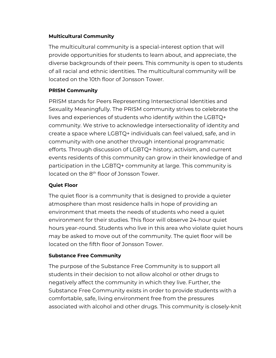### <span id="page-7-0"></span>**Multicultural Community**

The multicultural community is a special-interest option that will provide opportunities for students to learn about, and appreciate, the diverse backgrounds of their peers. This community is open to students of all racial and ethnic identities. The multicultural community will be located on the 10th floor of Jonsson Tower.

# <span id="page-7-1"></span>**PRISM Community**

PRISM stands for Peers Representing Intersectional Identities and Sexuality Meaningfully. The PRISM community strives to celebrate the lives and experiences of students who identify within the LGBTQ+ community. We strive to acknowledge intersectionality of identity and create a space where LGBTQ+ individuals can feel valued, safe, and in community with one another through intentional programmatic efforts. Through discussion of LGBTQ+ history, activism, and current events residents of this community can grow in their knowledge of and participation in the LGBTQ+ community at large. This community is located on the 8<sup>th</sup> floor of Jonsson Tower.

# <span id="page-7-2"></span>**Quiet Floor**

The quiet floor is a community that is designed to provide a quieter atmosphere than most residence halls in hope of providing an environment that meets the needs of students who need a quiet environment for their studies. This floor will observe 24-hour quiet hours year-round. Students who live in this area who violate quiet hours may be asked to move out of the community. The quiet floor will be located on the fifth floor of Jonsson Tower.

#### <span id="page-7-3"></span>**Substance Free Community**

The purpose of the Substance Free Community is to support all students in their decision to not allow alcohol or other drugs to negatively affect the community in which they live. Further, the Substance Free Community exists in order to provide students with a comfortable, safe, living environment free from the pressures associated with alcohol and other drugs. This community is closely-knit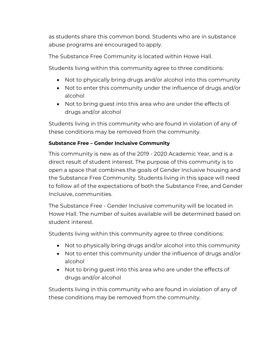as students share this common bond. Students who are in substance abuse programs are encouraged to apply.

The Substance Free Community is located within Howe Hall.

Students living within this community agree to three conditions:

- Not to physically bring drugs and/or alcohol into this community
- Not to enter this community under the influence of drugs and/or alcohol
- Not to bring guest into this area who are under the effects of drugs and/or alcohol

Students living in this community who are found in violation of any of these conditions may be removed from the community.

# <span id="page-8-0"></span>**Substance Free – Gender Inclusive Community**

This community is new as of the 2019 - 2020 Academic Year, and is a direct result of student interest. The purpose of this community is to open a space that combines the goals of Gender Inclusive housing and the Substance Free Community. Students living in this space will need to follow all of the expectations of both the Substance Free, and Gender Inclusive, communities.

The Substance Free - Gender Inclusive community will be located in Howe Hall. The number of suites available will be determined based on student interest.

Students living within this community agree to three conditions:

- Not to physically bring drugs and/or alcohol into this community
- Not to enter this community under the influence of drugs and/or alcohol
- Not to bring guest into this area who are under the effects of drugs and/or alcohol

Students living in this community who are found in violation of any of these conditions may be removed from the community.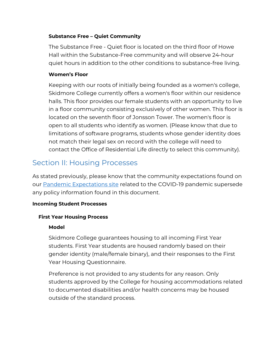#### <span id="page-9-0"></span>**Substance Free – Quiet Community**

The Substance Free - Quiet floor is located on the third floor of Howe Hall within the Substance-Free community and will observe 24-hour quiet hours in addition to the other conditions to substance-free living.

# <span id="page-9-1"></span>**Women's Floor**

Keeping with our roots of initially being founded as a women's college, Skidmore College currently offers a women's floor within our residence halls. This floor provides our female students with an opportunity to live in a floor community consisting exclusively of other women. This floor is located on the seventh floor of Jonsson Tower. The women's floor is open to all students who identify as women. (Please know that due to limitations of software programs, students whose gender identity does not match their legal sex on record with the college will need to contact the Office of Residential Life directly to select this community).

# <span id="page-9-2"></span>Section II: Housing Processes

As stated previously, please know that the community expectations found on our [Pandemic Expectations site](https://www.skidmore.edu/reslife/student-conduct/pandemic-expectations.php) related to the COVID-19 pandemic supersede any policy information found in this document.

#### <span id="page-9-3"></span>**Incoming Student Processes**

#### <span id="page-9-5"></span><span id="page-9-4"></span>**First Year Housing Process**

#### **Model**

Skidmore College guarantees housing to all incoming First Year students. First Year students are housed randomly based on their gender identity (male/female binary), and their responses to the First Year Housing Questionnaire.

Preference is not provided to any students for any reason. Only students approved by the College for housing accommodations related to documented disabilities and/or health concerns may be housed outside of the standard process.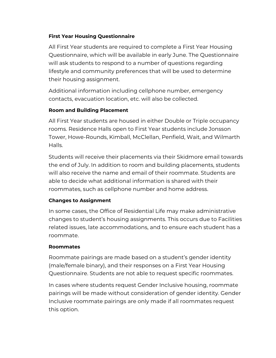# <span id="page-10-0"></span>**First Year Housing Questionnaire**

All First Year students are required to complete a First Year Housing Questionnaire, which will be available in early June. The Questionnaire will ask students to respond to a number of questions regarding lifestyle and community preferences that will be used to determine their housing assignment.

Additional information including cellphone number, emergency contacts, evacuation location, etc. will also be collected.

# <span id="page-10-1"></span>**Room and Building Placement**

All First Year students are housed in either Double or Triple occupancy rooms. Residence Halls open to First Year students include Jonsson Tower, Howe-Rounds, Kimball, McClellan, Penfield, Wait, and Wilmarth Halls.

Students will receive their placements via their Skidmore email towards the end of July. In addition to room and building placements, students will also receive the name and email of their roommate. Students are able to decide what additional information is shared with their roommates, such as cellphone number and home address.

#### <span id="page-10-2"></span>**Changes to Assignment**

In some cases, the Office of Residential Life may make administrative changes to student's housing assignments. This occurs due to Facilities related issues, late accommodations, and to ensure each student has a roommate.

#### <span id="page-10-3"></span>**Roommates**

Roommate pairings are made based on a student's gender identity (male/female binary), and their responses on a First Year Housing Questionnaire. Students are not able to request specific roommates.

In cases where students request Gender Inclusive housing, roommate pairings will be made without consideration of gender identity. Gender Inclusive roommate pairings are only made if all roommates request this option.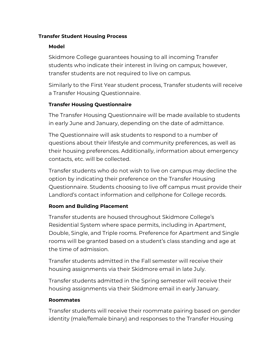#### <span id="page-11-1"></span><span id="page-11-0"></span>**Transfer Student Housing Process**

#### **Model**

Skidmore College guarantees housing to all incoming Transfer students who indicate their interest in living on campus; however, transfer students are not required to live on campus.

Similarly to the First Year student process, Transfer students will receive a Transfer Housing Questionnaire.

#### <span id="page-11-2"></span>**Transfer Housing Questionnaire**

The Transfer Housing Questionnaire will be made available to students in early June and January, depending on the date of admittance.

The Questionnaire will ask students to respond to a number of questions about their lifestyle and community preferences, as well as their housing preferences. Additionally, information about emergency contacts, etc. will be collected.

Transfer students who do not wish to live on campus may decline the option by indicating their preference on the Transfer Housing Questionnaire. Students choosing to live off campus must provide their Landlord's contact information and cellphone for College records.

# <span id="page-11-3"></span>**Room and Building Placement**

Transfer students are housed throughout Skidmore College's Residential System where space permits, including in Apartment, Double, Single, and Triple rooms. Preference for Apartment and Single rooms will be granted based on a student's class standing and age at the time of admission.

Transfer students admitted in the Fall semester will receive their housing assignments via their Skidmore email in late July.

Transfer students admitted in the Spring semester will receive their housing assignments via their Skidmore email in early January.

#### <span id="page-11-4"></span>**Roommates**

Transfer students will receive their roommate pairing based on gender identity (male/female binary) and responses to the Transfer Housing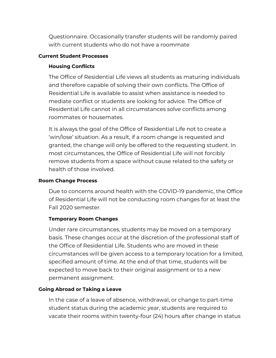Questionnaire. Occasionally transfer students will be randomly paired with current students who do not have a roommate

#### <span id="page-12-1"></span><span id="page-12-0"></span>**Current Student Processes**

#### **Housing Conflicts**

The Office of Residential Life views all students as maturing individuals and therefore capable of solving their own conflicts. The Office of Residential Life is available to assist when assistance is needed to mediate conflict or students are looking for advice. The Office of Residential Life cannot in all circumstances solve conflicts among roommates or housemates.

It is always the goal of the Office of Residential Life not to create a 'win/lose' situation. As a result, if a room change is requested and granted, the change will only be offered to the requesting student. In most circumstances, the Office of Residential Life will not forcibly remove students from a space without cause related to the safety or health of those involved.

#### <span id="page-12-2"></span>**Room Change Process**

Due to concerns around health with the COVID-19 pandemic, the Office of Residential Life will not be conducting room changes for at least the Fall 2020 semester.

#### <span id="page-12-3"></span>**Temporary Room Changes**

Under rare circumstances, students may be moved on a temporary basis. These changes occur at the discretion of the professional staff of the Office of Residential Life. Students who are moved in these circumstances will be given access to a temporary location for a limited, specified amount of time. At the end of that time, students will be expected to move back to their original assignment or to a new permanent assignment.

#### <span id="page-12-4"></span>**Going Abroad or Taking a Leave**

In the case of a leave of absence, withdrawal, or change to part-time student status during the academic year, students are required to vacate their rooms within twenty-four (24) hours after change in status